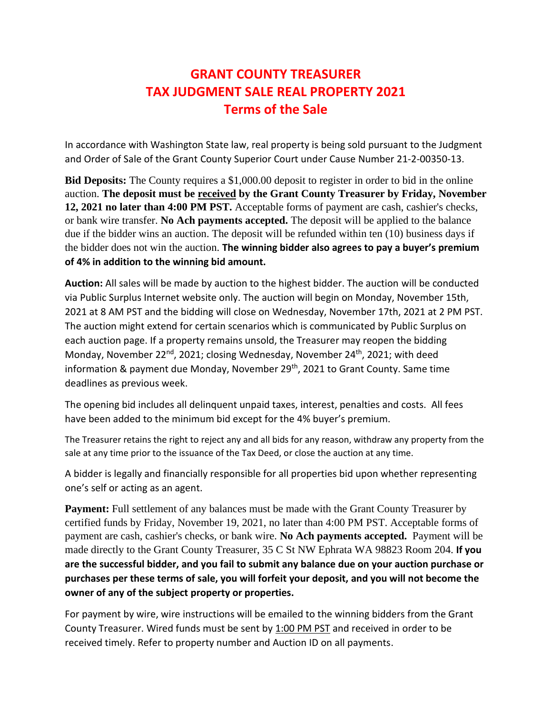# **GRANT COUNTY TREASURER TAX JUDGMENT SALE REAL PROPERTY 2021 Terms of the Sale**

In accordance with Washington State law, real property is being sold pursuant to the Judgment and Order of Sale of the Grant County Superior Court under Cause Number 21-2-00350-13.

**Bid Deposits:** The County requires a \$1,000.00 deposit to register in order to bid in the online auction. **The deposit must be received by the Grant County Treasurer by Friday, November 12, 2021 no later than 4:00 PM PST.** Acceptable forms of payment are cash, cashier's checks, or bank wire transfer. **No Ach payments accepted.** The deposit will be applied to the balance due if the bidder wins an auction. The deposit will be refunded within ten (10) business days if the bidder does not win the auction. **The winning bidder also agrees to pay a buyer's premium of 4% in addition to the winning bid amount.**

**Auction:** All sales will be made by auction to the highest bidder. The auction will be conducted via Public Surplus Internet website only. The auction will begin on Monday, November 15th, 2021 at 8 AM PST and the bidding will close on Wednesday, November 17th, 2021 at 2 PM PST. The auction might extend for certain scenarios which is communicated by Public Surplus on each auction page. If a property remains unsold, the Treasurer may reopen the bidding Monday, November 22<sup>nd</sup>, 2021; closing Wednesday, November 24<sup>th</sup>, 2021; with deed information & payment due Monday, November 29<sup>th</sup>, 2021 to Grant County. Same time deadlines as previous week.

The opening bid includes all delinquent unpaid taxes, interest, penalties and costs. All fees have been added to the minimum bid except for the 4% buyer's premium.

The Treasurer retains the right to reject any and all bids for any reason, withdraw any property from the sale at any time prior to the issuance of the Tax Deed, or close the auction at any time.

A bidder is legally and financially responsible for all properties bid upon whether representing one's self or acting as an agent.

**Payment:** Full settlement of any balances must be made with the Grant County Treasurer by certified funds by Friday, November 19, 2021, no later than 4:00 PM PST. Acceptable forms of payment are cash, cashier's checks, or bank wire. **No Ach payments accepted.** Payment will be made directly to the Grant County Treasurer, 35 C St NW Ephrata WA 98823 Room 204. **If you are the successful bidder, and you fail to submit any balance due on your auction purchase or purchases per these terms of sale, you will forfeit your deposit, and you will not become the owner of any of the subject property or properties.**

For payment by wire, wire instructions will be emailed to the winning bidders from the Grant County Treasurer. Wired funds must be sent by 1:00 PM PST and received in order to be received timely. Refer to property number and Auction ID on all payments.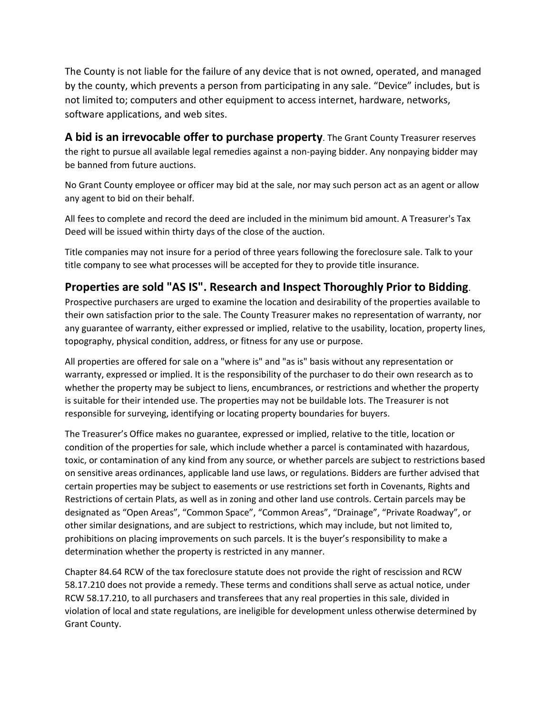The County is not liable for the failure of any device that is not owned, operated, and managed by the county, which prevents a person from participating in any sale. "Device" includes, but is not limited to; computers and other equipment to access internet, hardware, networks, software applications, and web sites.

**A bid is an irrevocable offer to purchase property**. The Grant County Treasurer reserves the right to pursue all available legal remedies against a non-paying bidder. Any nonpaying bidder may be banned from future auctions.

No Grant County employee or officer may bid at the sale, nor may such person act as an agent or allow any agent to bid on their behalf.

All fees to complete and record the deed are included in the minimum bid amount. A Treasurer's Tax Deed will be issued within thirty days of the close of the auction.

Title companies may not insure for a period of three years following the foreclosure sale. Talk to your title company to see what processes will be accepted for they to provide title insurance.

## **Properties are sold "AS IS". Research and Inspect Thoroughly Prior to Bidding**.

Prospective purchasers are urged to examine the location and desirability of the properties available to their own satisfaction prior to the sale. The County Treasurer makes no representation of warranty, nor any guarantee of warranty, either expressed or implied, relative to the usability, location, property lines, topography, physical condition, address, or fitness for any use or purpose.

All properties are offered for sale on a "where is" and "as is" basis without any representation or warranty, expressed or implied. It is the responsibility of the purchaser to do their own research as to whether the property may be subject to liens, encumbrances, or restrictions and whether the property is suitable for their intended use. The properties may not be buildable lots. The Treasurer is not responsible for surveying, identifying or locating property boundaries for buyers.

The Treasurer's Office makes no guarantee, expressed or implied, relative to the title, location or condition of the properties for sale, which include whether a parcel is contaminated with hazardous, toxic, or contamination of any kind from any source, or whether parcels are subject to restrictions based on sensitive areas ordinances, applicable land use laws, or regulations. Bidders are further advised that certain properties may be subject to easements or use restrictions set forth in Covenants, Rights and Restrictions of certain Plats, as well as in zoning and other land use controls. Certain parcels may be designated as "Open Areas", "Common Space", "Common Areas", "Drainage", "Private Roadway", or other similar designations, and are subject to restrictions, which may include, but not limited to, prohibitions on placing improvements on such parcels. It is the buyer's responsibility to make a determination whether the property is restricted in any manner.

Chapter 84.64 RCW of the tax foreclosure statute does not provide the right of rescission and RCW 58.17.210 does not provide a remedy. These terms and conditions shall serve as actual notice, under RCW 58.17.210, to all purchasers and transferees that any real properties in this sale, divided in violation of local and state regulations, are ineligible for development unless otherwise determined by Grant County.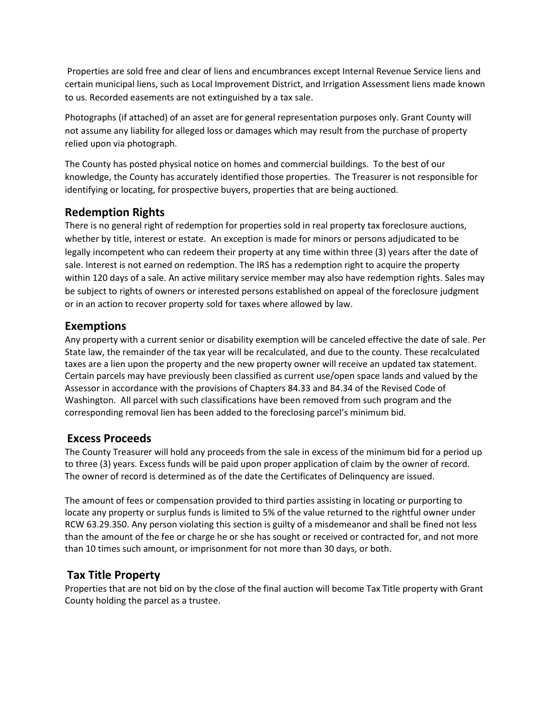Properties are sold free and clear of liens and encumbrances except Internal Revenue Service liens and certain municipal liens, such as Local Improvement District, and Irrigation Assessment liens made known to us. Recorded easements are not extinguished by a tax sale.

Photographs (if attached) of an asset are for general representation purposes only. Grant County will not assume any liability for alleged loss or damages which may result from the purchase of property relied upon via photograph.

The County has posted physical notice on homes and commercial buildings. To the best of our knowledge, the County has accurately identified those properties. The Treasurer is not responsible for identifying or locating, for prospective buyers, properties that are being auctioned.

## **Redemption Rights**

There is no general right of redemption for properties sold in real property tax foreclosure auctions, whether by title, interest or estate. An exception is made for minors or persons adjudicated to be legally incompetent who can redeem their property at any time within three (3) years after the date of sale. Interest is not earned on redemption. The IRS has a redemption right to acquire the property within 120 days of a sale. An active military service member may also have redemption rights. Sales may be subject to rights of owners or interested persons established on appeal of the foreclosure judgment or in an action to recover property sold for taxes where allowed by law.

#### **Exemptions**

Any property with a current senior or disability exemption will be canceled effective the date of sale. Per State law, the remainder of the tax year will be recalculated, and due to the county. These recalculated taxes are a lien upon the property and the new property owner will receive an updated tax statement. Certain parcels may have previously been classified as current use/open space lands and valued by the Assessor in accordance with the provisions of Chapters 84.33 and 84.34 of the Revised Code of Washington. All parcel with such classifications have been removed from such program and the corresponding removal lien has been added to the foreclosing parcel's minimum bid.

#### **Excess Proceeds**

The County Treasurer will hold any proceeds from the sale in excess of the minimum bid for a period up to three (3) years. Excess funds will be paid upon proper application of claim by the owner of record. The owner of record is determined as of the date the Certificates of Delinquency are issued.

The amount of fees or compensation provided to third parties assisting in locating or purporting to locate any property or surplus funds is limited to 5% of the value returned to the rightful owner under RCW 63.29.350. Any person violating this section is guilty of a misdemeanor and shall be fined not less than the amount of the fee or charge he or she has sought or received or contracted for, and not more than 10 times such amount, or imprisonment for not more than 30 days, or both.

## **Tax Title Property**

Properties that are not bid on by the close of the final auction will become Tax Title property with Grant County holding the parcel as a trustee.